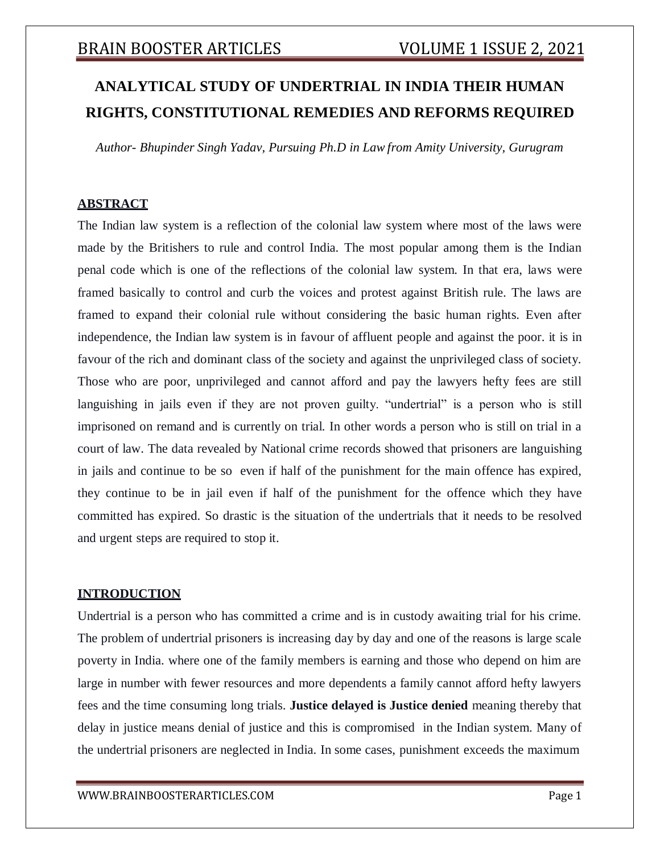# **ANALYTICAL STUDY OF UNDERTRIAL IN INDIA THEIR HUMAN RIGHTS, CONSTITUTIONAL REMEDIES AND REFORMS REQUIRED**

*Author- Bhupinder Singh Yadav, Pursuing Ph.D in Law from Amity University, Gurugram*

## **ABSTRACT**

The Indian law system is a reflection of the colonial law system where most of the laws were made by the Britishers to rule and control India. The most popular among them is the Indian penal code which is one of the reflections of the colonial law system. In that era, laws were framed basically to control and curb the voices and protest against British rule. The laws are framed to expand their colonial rule without considering the basic human rights. Even after independence, the Indian law system is in favour of affluent people and against the poor. it is in favour of the rich and dominant class of the society and against the unprivileged class of society. Those who are poor, unprivileged and cannot afford and pay the lawyers hefty fees are still languishing in jails even if they are not proven guilty. "undertrial" is a person who is still imprisoned on remand and is currently on trial. In other words a person who is still on trial in a court of law. The data revealed by National crime records showed that prisoners are languishing in jails and continue to be so even if half of the punishment for the main offence has expired, they continue to be in jail even if half of the punishment for the offence which they have committed has expired. So drastic is the situation of the undertrials that it needs to be resolved and urgent steps are required to stop it.

## **INTRODUCTION**

Undertrial is a person who has committed a crime and is in custody awaiting trial for his crime. The problem of undertrial prisoners is increasing day by day and one of the reasons is large scale poverty in India. where one of the family members is earning and those who depend on him are large in number with fewer resources and more dependents a family cannot afford hefty lawyers fees and the time consuming long trials. **Justice delayed is Justice denied** meaning thereby that delay in justice means denial of justice and this is compromised in the Indian system. Many of the undertrial prisoners are neglected in India. In some cases, punishment exceeds the maximum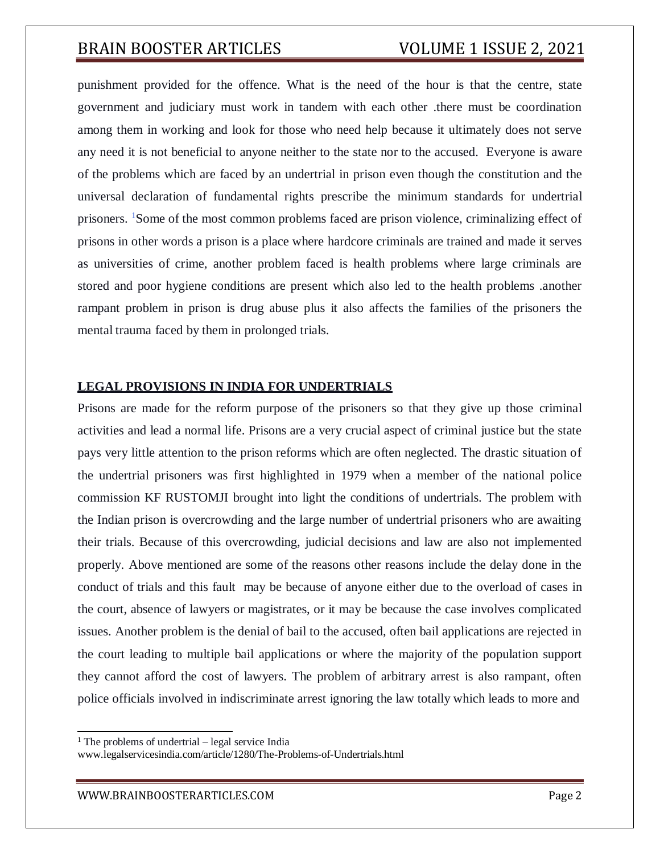punishment provided for the offence. What is the need of the hour is that the centre, state government and judiciary must work in tandem with each other .there must be coordination among them in working and look for those who need help because it ultimately does not serve any need it is not beneficial to anyone neither to the state nor to the accused. Everyone is aware of the problems which are faced by an undertrial in prison even though the constitution and the universal declaration of fundamental rights prescribe the minimum standards for undertrial prisoners. <sup>1</sup>Some of the most common problems faced are prison violence, criminalizing effect of prisons in other words a prison is a place where hardcore criminals are trained and made it serves as universities of crime, another problem faced is health problems where large criminals are stored and poor hygiene conditions are present which also led to the health problems .another rampant problem in prison is drug abuse plus it also affects the families of the prisoners the mental trauma faced by them in prolonged trials.

### **LEGAL PROVISIONS IN INDIA FOR UNDERTRIALS**

Prisons are made for the reform purpose of the prisoners so that they give up those criminal activities and lead a normal life. Prisons are a very crucial aspect of criminal justice but the state pays very little attention to the prison reforms which are often neglected. The drastic situation of the undertrial prisoners was first highlighted in 1979 when a member of the national police commission KF RUSTOMJI brought into light the conditions of undertrials. The problem with the Indian prison is overcrowding and the large number of undertrial prisoners who are awaiting their trials. Because of this overcrowding, judicial decisions and law are also not implemented properly. Above mentioned are some of the reasons other reasons include the delay done in the conduct of trials and this fault may be because of anyone either due to the overload of cases in the court, absence of lawyers or magistrates, or it may be because the case involves complicated issues. Another problem is the denial of bail to the accused, often bail applications are rejected in the court leading to multiple bail applications or where the majority of the population support they cannot afford the cost of lawyers. The problem of arbitrary arrest is also rampant, often police officials involved in indiscriminate arrest ignoring the law totally which leads to more and

 $<sup>1</sup>$  The problems of undertrial – legal service India</sup>

[www.legalservicesindia.com/article/1280/The-Problems-of-Undertrials.html](http://www.legalservicesindia.com/article/1280/The-Problems-of-Undertrials.html)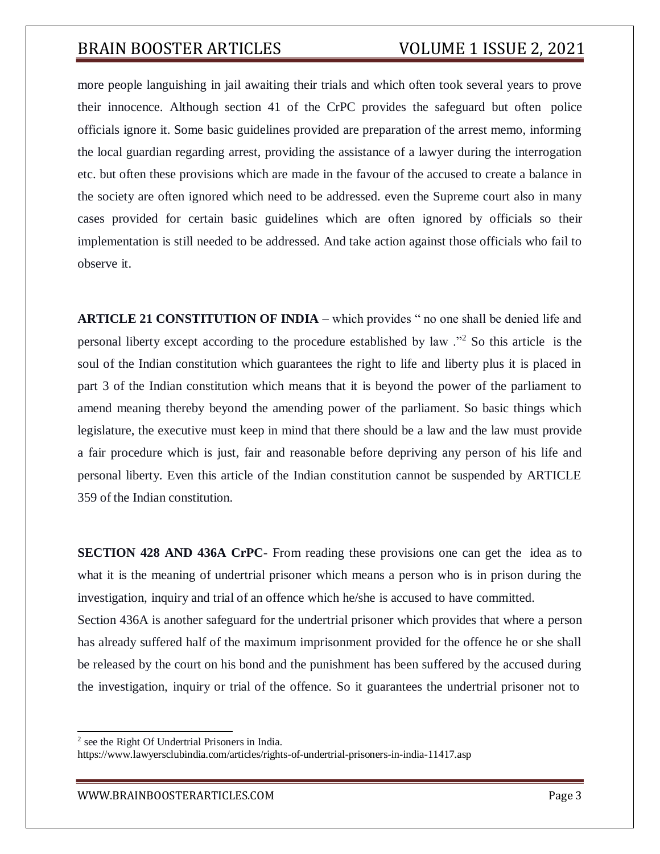more people languishing in jail awaiting their trials and which often took several years to prove their innocence. Although section 41 of the CrPC provides the safeguard but often police officials ignore it. Some basic guidelines provided are preparation of the arrest memo, informing the local guardian regarding arrest, providing the assistance of a lawyer during the interrogation etc. but often these provisions which are made in the favour of the accused to create a balance in the society are often ignored which need to be addressed. even the Supreme court also in many cases provided for certain basic guidelines which are often ignored by officials so their implementation is still needed to be addressed. And take action against those officials who fail to observe it.

**ARTICLE 21 CONSTITUTION OF INDIA** – which provides " no one shall be denied life and personal liberty except according to the procedure established by law ."<sup>2</sup> So this article is the soul of the Indian constitution which guarantees the right to life and liberty plus it is placed in part 3 of the Indian constitution which means that it is beyond the power of the parliament to amend meaning thereby beyond the amending power of the parliament. So basic things which legislature, the executive must keep in mind that there should be a law and the law must provide a fair procedure which is just, fair and reasonable before depriving any person of his life and personal liberty. Even this article of the Indian constitution cannot be suspended by ARTICLE 359 of the Indian constitution.

**SECTION 428 AND 436A CrPC**- From reading these provisions one can get the idea as to what it is the meaning of undertrial prisoner which means a person who is in prison during the investigation, inquiry and trial of an offence which he/she is accused to have committed. Section 436A is another safeguard for the undertrial prisoner which provides that where a person has already suffered half of the maximum imprisonment provided for the offence he or she shall

be released by the court on his bond and the punishment has been suffered by the accused during the investigation, inquiry or trial of the offence. So it guarantees the undertrial prisoner not to

<sup>&</sup>lt;sup>2</sup> see the Right Of Undertrial Prisoners in India.

https:/[/www.lawyersclubindia.com/articles/rights-of-undertrial-prisoners-in-india-11417.asp](http://www.lawyersclubindia.com/articles/rights-of-undertrial-prisoners-in-india-11417.asp)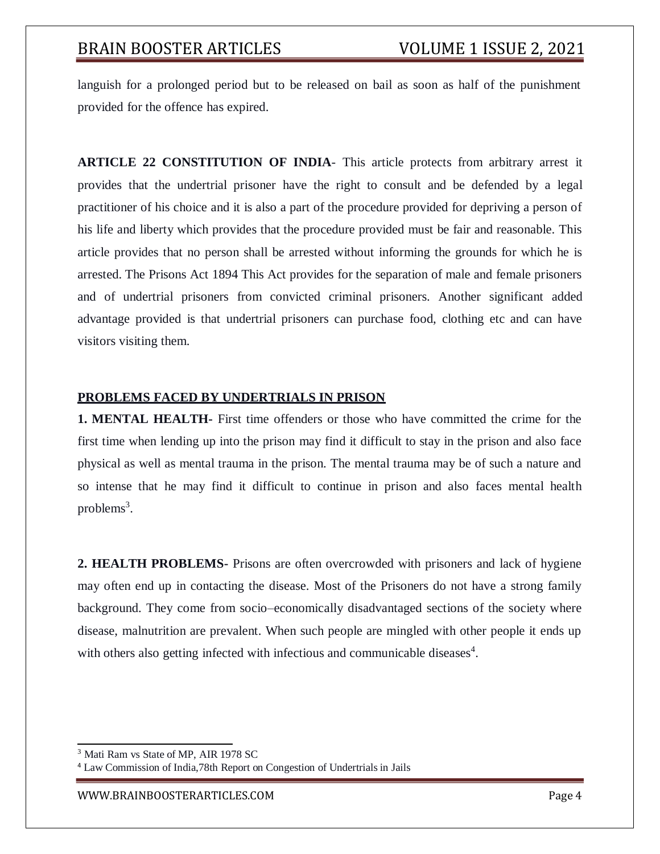languish for a prolonged period but to be released on bail as soon as half of the punishment provided for the offence has expired.

**ARTICLE 22 CONSTITUTION OF INDIA**- This article protects from arbitrary arrest it provides that the undertrial prisoner have the right to consult and be defended by a legal practitioner of his choice and it is also a part of the procedure provided for depriving a person of his life and liberty which provides that the procedure provided must be fair and reasonable. This article provides that no person shall be arrested without informing the grounds for which he is arrested. The Prisons Act 1894 This Act provides for the separation of male and female prisoners and of undertrial prisoners from convicted criminal prisoners. Another significant added advantage provided is that undertrial prisoners can purchase food, clothing etc and can have visitors visiting them.

## **PROBLEMS FACED BY UNDERTRIALS IN PRISON**

**1. MENTAL HEALTH-** First time offenders or those who have committed the crime for the first time when lending up into the prison may find it difficult to stay in the prison and also face physical as well as mental trauma in the prison. The mental trauma may be of such a nature and so intense that he may find it difficult to continue in prison and also faces mental health problems<sup>3</sup>.

**2. HEALTH PROBLEMS-** Prisons are often overcrowded with prisoners and lack of hygiene may often end up in contacting the disease. Most of the Prisoners do not have a strong family background. They come from socio–economically disadvantaged sections of the society where disease, malnutrition are prevalent. When such people are mingled with other people it ends up with others also getting infected with infectious and communicable diseases<sup>4</sup>.

<sup>&</sup>lt;sup>3</sup> Mati Ram vs State of MP, AIR 1978 SC

<sup>4</sup> Law Commission of India,78th Report on Congestion of Undertrials in Jails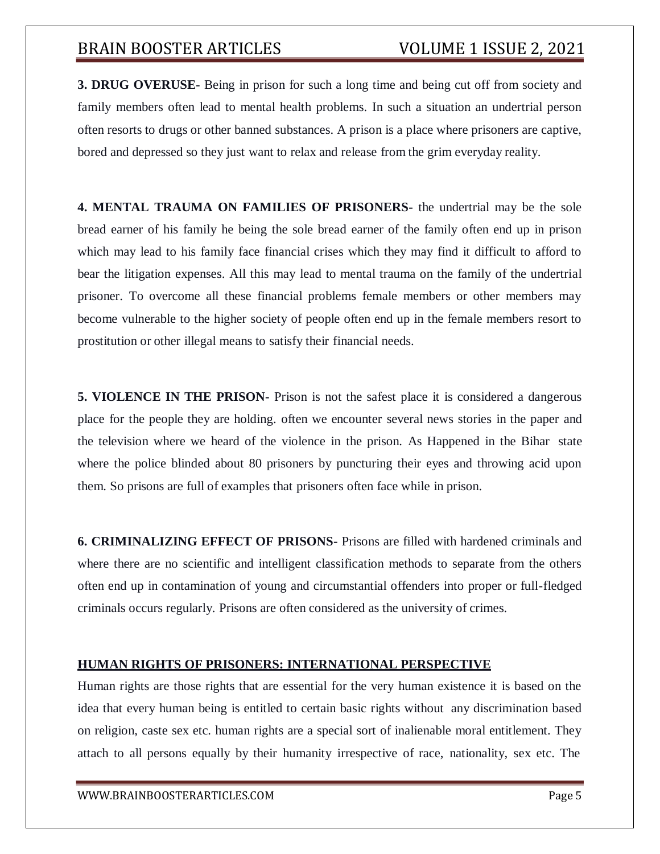**3. DRUG OVERUSE-** Being in prison for such a long time and being cut off from society and family members often lead to mental health problems. In such a situation an undertrial person often resorts to drugs or other banned substances. A prison is a place where prisoners are captive, bored and depressed so they just want to relax and release from the grim everyday reality.

**4. MENTAL TRAUMA ON FAMILIES OF PRISONERS-** the undertrial may be the sole bread earner of his family he being the sole bread earner of the family often end up in prison which may lead to his family face financial crises which they may find it difficult to afford to bear the litigation expenses. All this may lead to mental trauma on the family of the undertrial prisoner. To overcome all these financial problems female members or other members may become vulnerable to the higher society of people often end up in the female members resort to prostitution or other illegal means to satisfy their financial needs.

**5. VIOLENCE IN THE PRISON-** Prison is not the safest place it is considered a dangerous place for the people they are holding. often we encounter several news stories in the paper and the television where we heard of the violence in the prison. As Happened in the Bihar state where the police blinded about 80 prisoners by puncturing their eyes and throwing acid upon them. So prisons are full of examples that prisoners often face while in prison.

**6. CRIMINALIZING EFFECT OF PRISONS-** Prisons are filled with hardened criminals and where there are no scientific and intelligent classification methods to separate from the others often end up in contamination of young and circumstantial offenders into proper or full-fledged criminals occurs regularly. Prisons are often considered as the university of crimes.

## **HUMAN RIGHTS OF PRISONERS: INTERNATIONAL PERSPECTIVE**

Human rights are those rights that are essential for the very human existence it is based on the idea that every human being is entitled to certain basic rights without any discrimination based on religion, caste sex etc. human rights are a special sort of inalienable moral entitlement. They attach to all persons equally by their humanity irrespective of race, nationality, sex etc. The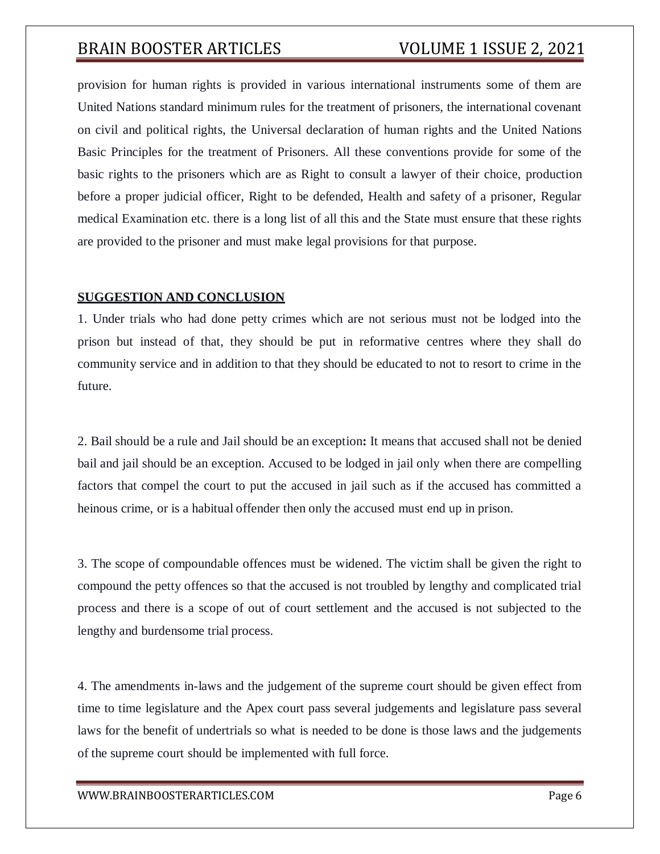provision for human rights is provided in various international instruments some of them are United Nations standard minimum rules for the treatment of prisoners, the international covenant on civil and political rights, the Universal declaration of human rights and the United Nations Basic Principles for the treatment of Prisoners. All these conventions provide for some of the basic rights to the prisoners which are as Right to consult a lawyer of their choice, production before a proper judicial officer, Right to be defended, Health and safety of a prisoner, Regular medical Examination etc. there is a long list of all this and the State must ensure that these rights are provided to the prisoner and must make legal provisions for that purpose.

#### **SUGGESTION AND CONCLUSION**

1. Under trials who had done petty crimes which are not serious must not be lodged into the prison but instead of that, they should be put in reformative centres where they shall do community service and in addition to that they should be educated to not to resort to crime in the future.

2. Bail should be a rule and Jail should be an exception**:** It means that accused shall not be denied bail and jail should be an exception. Accused to be lodged in jail only when there are compelling factors that compel the court to put the accused in jail such as if the accused has committed a heinous crime, or is a habitual offender then only the accused must end up in prison.

3. The scope of compoundable offences must be widened. The victim shall be given the right to compound the petty offences so that the accused is not troubled by lengthy and complicated trial process and there is a scope of out of court settlement and the accused is not subjected to the lengthy and burdensome trial process.

4. The amendments in-laws and the judgement of the supreme court should be given effect from time to time legislature and the Apex court pass several judgements and legislature pass several laws for the benefit of undertrials so what is needed to be done is those laws and the judgements of the supreme court should be implemented with full force.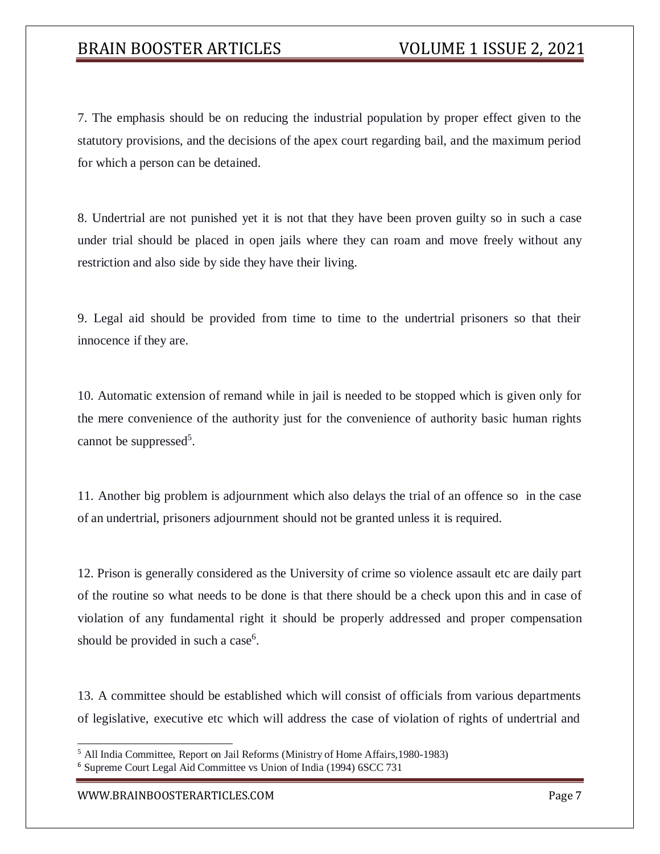7. The emphasis should be on reducing the industrial population by proper effect given to the statutory provisions, and the decisions of the apex court regarding bail, and the maximum period for which a person can be detained.

8. Undertrial are not punished yet it is not that they have been proven guilty so in such a case under trial should be placed in open jails where they can roam and move freely without any restriction and also side by side they have their living.

9. Legal aid should be provided from time to time to the undertrial prisoners so that their innocence if they are.

10. Automatic extension of remand while in jail is needed to be stopped which is given only for the mere convenience of the authority just for the convenience of authority basic human rights cannot be suppressed<sup>5</sup>.

11. Another big problem is adjournment which also delays the trial of an offence so in the case of an undertrial, prisoners adjournment should not be granted unless it is required.

12. Prison is generally considered as the University of crime so violence assault etc are daily part of the routine so what needs to be done is that there should be a check upon this and in case of violation of any fundamental right it should be properly addressed and proper compensation should be provided in such a case<sup>6</sup>.

13. A committee should be established which will consist of officials from various departments of legislative, executive etc which will address the case of violation of rights of undertrial and

<sup>5</sup> All India Committee, Report on Jail Reforms (Ministry of Home Affairs,1980-1983)

<sup>6</sup> Supreme Court Legal Aid Committee vs Union of India (1994) 6SCC 731